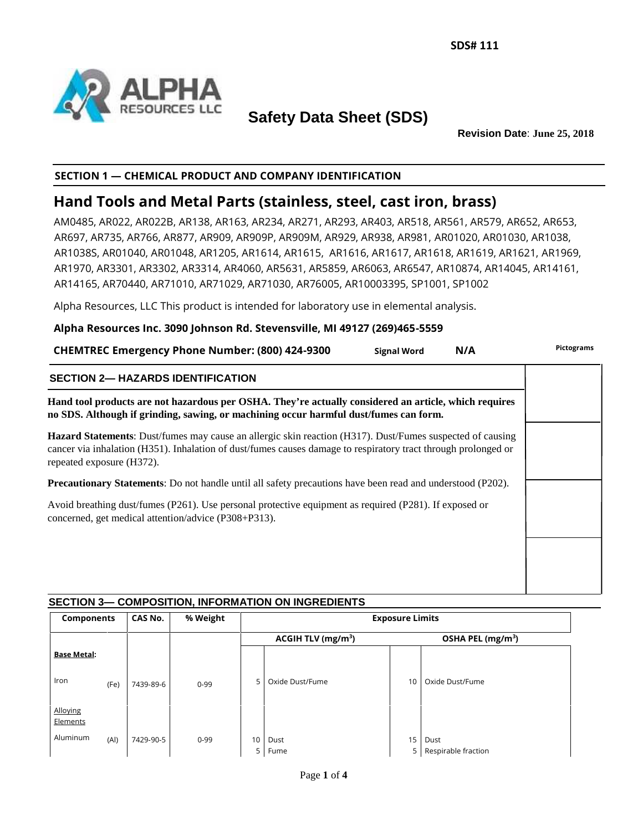

# **Safety Data Sheet (SDS)**

**Revision Date**: **June 25, 2018**

# **SECTION 1 — CHEMICAL PRODUCT AND COMPANY IDENTIFICATION**

# **Hand Tools and Metal Parts (stainless, steel, cast iron, brass)**

AM0485, AR022, AR022B, AR138, AR163, AR234, AR271, AR293, AR403, AR518, AR561, AR579, AR652, AR653, AR697, AR735, AR766, AR877, AR909, AR909P, AR909M, AR929, AR938, AR981, AR01020, AR01030, AR1038, AR1038S, AR01040, AR01048, AR1205, AR1614, AR1615, AR1616, AR1617, AR1618, AR1619, AR1621, AR1969, AR1970, AR3301, AR3302, AR3314, AR4060, AR5631, AR5859, AR6063, AR6547, AR10874, AR14045, AR14161, AR14165, AR70440, AR71010, AR71029, AR71030, AR76005, AR10003395, SP1001, SP1002

Alpha Resources, LLC This product is intended for laboratory use in elemental analysis.

## **Alpha Resources Inc. 3090 Johnson Rd. Stevensville, MI 49127 (269)465-5559**

| <b>CHEMTREC Emergency Phone Number: (800) 424-9300</b>                                                                                                                                                                                                   | <b>Signal Word</b> | N/A | Pictograms |  |  |
|----------------------------------------------------------------------------------------------------------------------------------------------------------------------------------------------------------------------------------------------------------|--------------------|-----|------------|--|--|
| <b>SECTION 2- HAZARDS IDENTIFICATION</b>                                                                                                                                                                                                                 |                    |     |            |  |  |
| Hand tool products are not hazardous per OSHA. They're actually considered an article, which requires<br>no SDS. Although if grinding, sawing, or machining occur harmful dust/fumes can form.                                                           |                    |     |            |  |  |
| Hazard Statements: Dust/fumes may cause an allergic skin reaction (H317). Dust/Fumes suspected of causing<br>cancer via inhalation (H351). Inhalation of dust/fumes causes damage to respiratory tract through prolonged or<br>repeated exposure (H372). |                    |     |            |  |  |
| <b>Precautionary Statements</b> : Do not handle until all safety precautions have been read and understood (P202).                                                                                                                                       |                    |     |            |  |  |
| Avoid breathing dust/fumes (P261). Use personal protective equipment as required (P281). If exposed or<br>concerned, get medical attention/advice (P308+P313).                                                                                           |                    |     |            |  |  |
|                                                                                                                                                                                                                                                          |                    |     |            |  |  |
|                                                                                                                                                                                                                                                          |                    |     |            |  |  |
|                                                                                                                                                                                                                                                          |                    |     |            |  |  |

# **SECTION 3— COMPOSITION, INFORMATION ON INGREDIENTS**

| <b>Components</b>    |      | CAS No.   | % Weight | <b>Exposure Limits</b> |                                |    |                               |  |
|----------------------|------|-----------|----------|------------------------|--------------------------------|----|-------------------------------|--|
|                      |      |           |          |                        | ACGIH TLV (mg/m <sup>3</sup> ) |    | OSHA PEL (mg/m <sup>3</sup> ) |  |
| <b>Base Metal:</b>   |      |           |          |                        |                                |    |                               |  |
| Iron                 | (Fe) | 7439-89-6 | $0 - 99$ | 5                      | Oxide Dust/Fume                | 10 | Oxide Dust/Fume               |  |
| Alloying<br>Elements |      |           |          |                        |                                |    |                               |  |
| Aluminum             | (AI) | 7429-90-5 | $0 - 99$ | 10<br>5                | Dust<br>Fume                   | 15 | Dust<br>Respirable fraction   |  |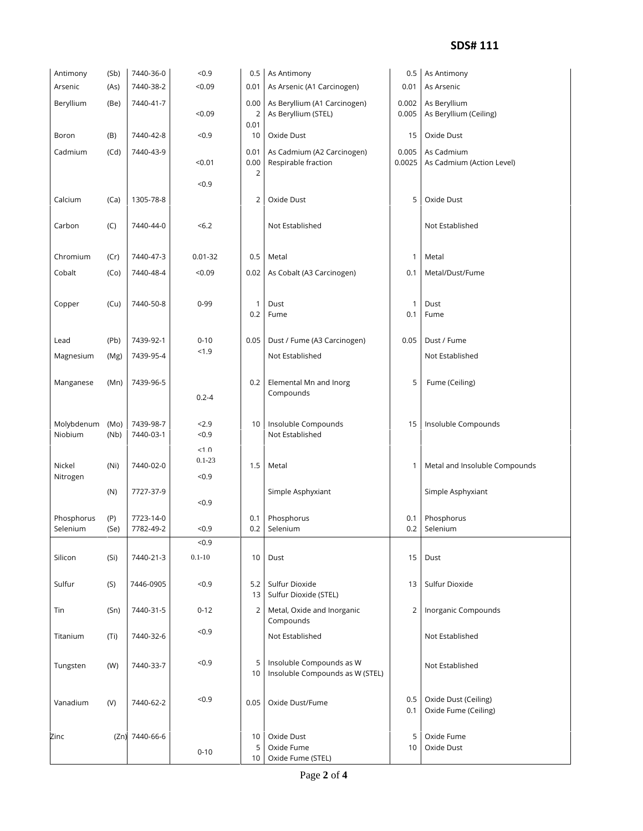#### **SDS# 111**

| Antimony              | (Sb)         | 7440-36-0              | < 0.9              | 0.5                            | As Antimony                                                 | 0.5             | As Antimony                                  |
|-----------------------|--------------|------------------------|--------------------|--------------------------------|-------------------------------------------------------------|-----------------|----------------------------------------------|
| Arsenic               | (As)         | 7440-38-2              | < 0.09             | 0.01                           | As Arsenic (A1 Carcinogen)                                  | 0.01            | As Arsenic                                   |
| Beryllium             | (Be)         | 7440-41-7              | < 0.09             | 0.00<br>2                      | As Beryllium (A1 Carcinogen)<br>As Beryllium (STEL)         | 0.002<br>0.005  | As Beryllium<br>As Beryllium (Ceiling)       |
| Boron                 | (B)          | 7440-42-8              | < 0.9              | 0.01<br>10                     | Oxide Dust                                                  | 15              | Oxide Dust                                   |
| Cadmium               | (Cd)         | 7440-43-9              | < 0.01             | 0.01<br>0.00<br>$\overline{2}$ | As Cadmium (A2 Carcinogen)<br>Respirable fraction           | 0.005<br>0.0025 | As Cadmium<br>As Cadmium (Action Level)      |
|                       |              |                        | < 0.9              |                                |                                                             |                 |                                              |
| Calcium               | (Ca)         | 1305-78-8              |                    | 2                              | Oxide Dust                                                  | 5               | Oxide Dust                                   |
| Carbon                | (C)          | 7440-44-0              | <6.2               |                                | Not Established                                             |                 | Not Established                              |
| Chromium              | (Cr)         | 7440-47-3              | $0.01 - 32$        | 0.5                            | Metal                                                       | 1               | Metal                                        |
| Cobalt                | (Co)         | 7440-48-4              | < 0.09             | 0.02                           | As Cobalt (A3 Carcinogen)                                   | 0.1             | Metal/Dust/Fume                              |
|                       |              |                        |                    |                                |                                                             |                 |                                              |
| Copper                | (Cu)         | 7440-50-8              | $0 - 99$           | 1<br>0.2                       | Dust<br>Fume                                                | 1<br>0.1        | Dust<br>Fume                                 |
|                       |              |                        |                    |                                |                                                             |                 |                                              |
| Lead                  | (Pb)         | 7439-92-1              | $0 - 10$<br>< 1.9  | 0.05                           | Dust / Fume (A3 Carcinogen)                                 | 0.05            | Dust / Fume                                  |
| Magnesium             | (Mg)         | 7439-95-4              |                    |                                | Not Established                                             |                 | Not Established                              |
| Manganese             | (Mn)         | 7439-96-5              | $0.2 - 4$          | 0.2                            | Elemental Mn and Inorg<br>Compounds                         | 5               | Fume (Ceiling)                               |
| Molybdenum<br>Niobium | (Mo)<br>(Nb) | 7439-98-7<br>7440-03-1 | 2.9<br>$0.9$       | 10                             | Insoluble Compounds<br>Not Established                      | 15              | Insoluble Compounds                          |
|                       |              |                        | <1.0<br>$0.1 - 23$ |                                |                                                             |                 |                                              |
| Nickel<br>Nitrogen    | (Ni)         | 7440-02-0              | $0.9$              | 1.5                            | Metal                                                       | 1               | Metal and Insoluble Compounds                |
|                       | (N)          | 7727-37-9              | < 0.9              |                                | Simple Asphyxiant                                           |                 | Simple Asphyxiant                            |
| Phosphorus            | (P)          | 7723-14-0              |                    | 0.1                            | Phosphorus                                                  | 0.1             | Phosphorus                                   |
| Selenium              | (Se)         | 7782-49-2              | $0.9$              | 0.2                            | Selenium                                                    | 0.2             | Selenium                                     |
|                       |              |                        | < 0.9              |                                |                                                             |                 |                                              |
| Silicon               | (Si)         | 7440-21-3              | $0.1 - 10$         | 10                             | Dust                                                        | 15              | Dust                                         |
| Sulfur                | (S)          | 7446-0905              | < 0.9              | 5.2<br>13 <sup>1</sup>         | Sulfur Dioxide<br>Sulfur Dioxide (STEL)                     | 13              | Sulfur Dioxide                               |
| Tin                   | (Sn)         | 7440-31-5              | $0 - 12$           | $\overline{2}$                 | Metal, Oxide and Inorganic<br>Compounds                     | 2               | Inorganic Compounds                          |
| Titanium              | (Ti)         | 7440-32-6              | < 0.9              |                                | Not Established                                             |                 | Not Established                              |
| Tungsten              | (W)          | 7440-33-7              | $0.9$              | 5<br>10                        | Insoluble Compounds as W<br>Insoluble Compounds as W (STEL) |                 | Not Established                              |
| Vanadium              | (V)          | 7440-62-2              | < 0.9              | 0.05                           | Oxide Dust/Fume                                             | 0.5<br>0.1      | Oxide Dust (Ceiling)<br>Oxide Fume (Ceiling) |
| Zinc                  |              | (Zn) 7440-66-6         | $0 - 10$           | 10<br>5<br>10 <sup>1</sup>     | Oxide Dust<br>Oxide Fume<br>Oxide Fume (STEL)               | 5<br>10         | Oxide Fume<br>Oxide Dust                     |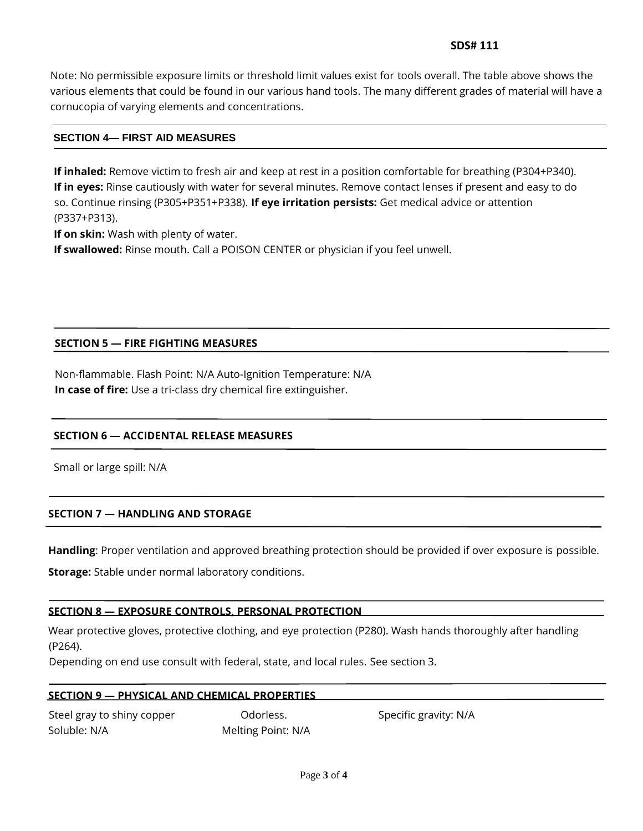# **SDS# 111**

Note: No permissible exposure limits or threshold limit values exist for tools overall. The table above shows the various elements that could be found in our various hand tools. The many different grades of material will have a cornucopia of varying elements and concentrations.

# **SECTION 4— FIRST AID MEASURES**

**If inhaled:** Remove victim to fresh air and keep at rest in a position comfortable for breathing (P304+P340). **If in eyes:** Rinse cautiously with water for several minutes. Remove contact lenses if present and easy to do so. Continue rinsing (P305+P351+P338). **If eye irritation persists:** Get medical advice or attention (P337+P313).

**If on skin:** Wash with plenty of water.

**If swallowed:** Rinse mouth. Call a POISON CENTER or physician if you feel unwell.

# **SECTION 5 — FIRE FIGHTING MEASURES**

Non-flammable. Flash Point: N/A Auto-Ignition Temperature: N/A **In case of fire:** Use a tri-class dry chemical fire extinguisher.

#### **SECTION 6 — ACCIDENTAL RELEASE MEASURES**

Small or large spill: N/A

## **SECTION 7 — HANDLING AND STORAGE**

**Handling**: Proper ventilation and approved breathing protection should be provided if over exposure is possible.

**Storage:** Stable under normal laboratory conditions.

#### **SECTION 8 — EXPOSURE CONTROLS, PERSONAL PROTECTION**

Wear protective gloves, protective clothing, and eye protection (P280). Wash hands thoroughly after handling (P264).

Depending on end use consult with federal, state, and local rules. See section 3.

#### **SECTION 9 — PHYSICAL AND CHEMICAL PROPERTIES**

Steel gray to shiny copper Codorless. Specific gravity: N/A Soluble: N/A Melting Point: N/A